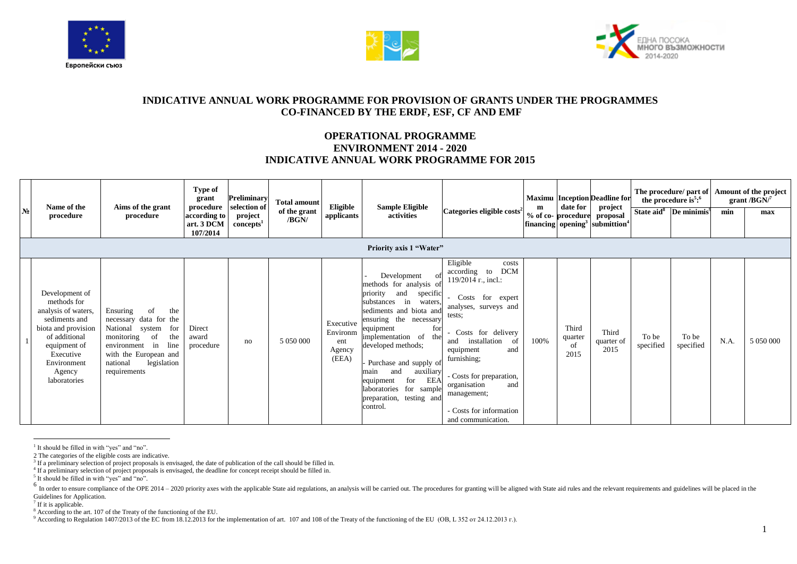





## **INDICATIVE ANNUAL WORK PROGRAMME FOR PROVISION OF GRANTS UNDER THE PROGRAMMES CO-FINANCED BY THE ERDF, ESF, CF AND EMF**

## **OPERATIONAL PROGRAMME ENVIRONMENT 2014 - 2020 INDICATIVE ANNUAL WORK PROGRAMME FOR 2015**

| N <sub>2</sub> | Name of the<br>procedure                                                                                                                                                            | Aims of the grant<br>procedure                                                                                                                                                                   | Type of<br>grant<br>procedure<br>according to<br>art. 3 DCM<br>107/2014 | Preliminary<br>selection of<br>project<br>concepts <sup>1</sup> | <b>Total amount</b><br>of the grant<br>/BGN/ | Eligible<br>applicants                          | <b>Sample Eligible</b><br>activities<br><b>Priority axis 1 "Water"</b>                                                                                                                                                                                                                                                                                                     | Categories eligible costs <sup>2</sup>                                                                                                                                                                                                                                                                             | m    | date for<br>% of co-procedure  | <b>Maximu</b> Inception Deadline for<br>project<br>proposal<br>$\left  \text{financing} \right $ opening <sup>3</sup> submittion <sup>4</sup> |                    | The procedure/ part of<br>the procedure is <sup>5</sup> : $6$<br>State aid <sup>8</sup> De minimis <sup>9</sup> | min  | Amount of the project<br>grant / $BGN$ <sup>7</sup><br>max |
|----------------|-------------------------------------------------------------------------------------------------------------------------------------------------------------------------------------|--------------------------------------------------------------------------------------------------------------------------------------------------------------------------------------------------|-------------------------------------------------------------------------|-----------------------------------------------------------------|----------------------------------------------|-------------------------------------------------|----------------------------------------------------------------------------------------------------------------------------------------------------------------------------------------------------------------------------------------------------------------------------------------------------------------------------------------------------------------------------|--------------------------------------------------------------------------------------------------------------------------------------------------------------------------------------------------------------------------------------------------------------------------------------------------------------------|------|--------------------------------|-----------------------------------------------------------------------------------------------------------------------------------------------|--------------------|-----------------------------------------------------------------------------------------------------------------|------|------------------------------------------------------------|
|                | Development of<br>methods for<br>analysis of waters,<br>sediments and<br>biota and provision<br>of additional<br>equipment of<br>Executive<br>Environment<br>Agency<br>laboratories | Ensuring<br>the<br>-of<br>necessary data for the<br>National system<br>for<br>monitoring<br>the<br>of<br>environment in line<br>with the European and<br>legislation<br>national<br>requirements | Direct<br>award<br>procedure                                            | no                                                              | 5 050 000                                    | Executive<br>Environm<br>ent<br>Agency<br>(EEA) | Development<br>methods for analysis of<br>specific<br>priority<br>and<br>substances in waters,<br>sediments and biota and<br>ensuring the necessary<br>for<br>equipment<br>implementation of the<br>developed methods;<br>Purchase and supply of<br>auxiliary<br>and<br>main<br>EEA<br>equipment<br>for<br>laboratories for sample<br>preparation, testing and<br>control. | Eligible<br>costs<br><b>DCM</b><br>according to<br>119/2014 r., incl.:<br>Costs for expert<br>analyses, surveys and<br>tests:<br>Costs for delivery<br>installation<br>- of<br>and<br>equipment<br>and<br>furnishing;<br>- Costs for preparation,<br>and<br>organisation<br>management;<br>- Costs for information | 100% | Third<br>quarter<br>of<br>2015 | Third<br>quarter of<br>2015                                                                                                                   | To be<br>specified | To be<br>specified                                                                                              | N.A. |                                                            |

 $\overline{a}$ <sup>1</sup> It should be filled in with "yes" and "no".

<sup>2</sup> The categories of the eligible costs are indicative.<br><sup>3</sup> If a preliminary selection of project proposals is envisaged, the date of publication of the call should be filled in.

<sup>4</sup> If a preliminary selection of project proposals is envisaged, the deadline for concept receipt should be filled in.

<sup>&</sup>lt;sup>5</sup> It should be filled in with "yes" and "no".

<sup>&</sup>lt;sup>6</sup> In order to ensure compliance of the OPE 2014 – 2020 priority axes with the applicable State aid regulations, an analysis will be carried out. The procedures for granting will be aligned with State aid rules and the re Guidelines for Application.

<sup>&</sup>lt;sup>7</sup> If it is applicable.

<sup>&</sup>lt;sup>8</sup> According to the art. 107 of the Treaty of the functioning of the EU.

<sup>9</sup> According to Regulation 1407/2013 of the EC from 18.12.2013 for the implementation of art. 107 and 108 of the Treaty of the functioning of the EU (OB, L 352 or 24.12.2013 r.).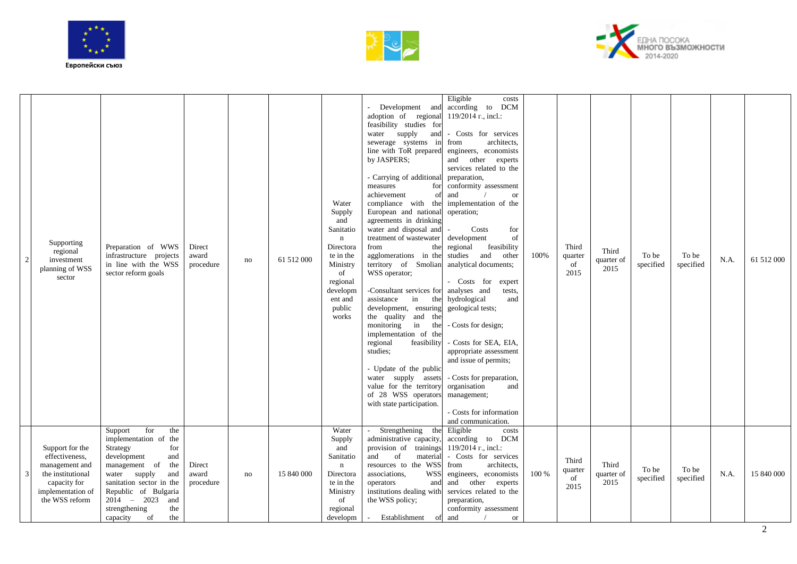





| 2 | Supporting<br>regional<br>investment<br>planning of WSS<br>sector                                                               | Preparation of WWS<br>infrastructure projects<br>in line with the WSS<br>sector reform goals                                                                                                                                                                  | Direct<br>award<br>procedure | no | 61 512 000 | Water<br>Supply<br>and<br>Sanitatio<br>$\mathbf{n}$<br>Directora<br>te in the<br>Ministry<br>of<br>regional<br>developm<br>ent and<br>public<br>works | Development and according to<br>adoption of regional<br>feasibility studies for<br>water supply<br>and<br>sewerage systems in<br>line with ToR prepared<br>by JASPERS;<br>- Carrying of additional preparation,<br>measures<br>for<br>achievement<br>of<br>compliance with the implementation of the<br>European and national operation;<br>agreements in drinking<br>water and disposal and<br>treatment of wastewater<br>from<br>agglomerations in the<br>territory of Smolian<br>WSS operator;<br>-Consultant services for<br>in<br>assistance<br>development, ensuring<br>the quality and the<br>monitoring<br>in the<br>implementation of the<br>regional<br>feasibility<br>studies:<br>- Update of the public<br>water supply assets<br>value for the territory<br>of 28 WSS operators<br>with state participation. | Eligible<br>costs<br><b>DCM</b><br>119/2014 r., incl.:<br>- Costs for services<br>from<br>architects.<br>engineers, economists<br>and other experts<br>services related to the<br>conformity assessment<br><b>or</b><br>and<br>Costs<br>for<br>$\overline{\phantom{a}}$<br>development<br>of<br>the regional feasibility<br>studies and<br>other<br>analytical documents;<br>- Costs for<br>expert<br>analyses and<br>tests,<br>the hydrological<br>and<br>geological tests;<br>- Costs for design;<br>- Costs for SEA, EIA,<br>appropriate assessment<br>and issue of permits;<br>- Costs for preparation,<br>organisation<br>and<br>management;<br>- Costs for information<br>and communication. | 100%  | Third<br>quarter<br>of<br>2015 | Third<br>quarter of<br>2015 | To be<br>specified | To be<br>specified | N.A. | 61 512 000 |
|---|---------------------------------------------------------------------------------------------------------------------------------|---------------------------------------------------------------------------------------------------------------------------------------------------------------------------------------------------------------------------------------------------------------|------------------------------|----|------------|-------------------------------------------------------------------------------------------------------------------------------------------------------|---------------------------------------------------------------------------------------------------------------------------------------------------------------------------------------------------------------------------------------------------------------------------------------------------------------------------------------------------------------------------------------------------------------------------------------------------------------------------------------------------------------------------------------------------------------------------------------------------------------------------------------------------------------------------------------------------------------------------------------------------------------------------------------------------------------------------|----------------------------------------------------------------------------------------------------------------------------------------------------------------------------------------------------------------------------------------------------------------------------------------------------------------------------------------------------------------------------------------------------------------------------------------------------------------------------------------------------------------------------------------------------------------------------------------------------------------------------------------------------------------------------------------------------|-------|--------------------------------|-----------------------------|--------------------|--------------------|------|------------|
|   | Support for the<br>effectiveness,<br>management and<br>the institutional<br>capacity for<br>implementation of<br>the WSS reform | for<br>the<br>Support<br>implementation of the<br>Strategy<br>for<br>development<br>and<br>management of the<br>water supply<br>and<br>sanitation sector in the<br>Republic of Bulgaria<br>$2014 - 2023$ and<br>strengthening<br>the<br>capacity<br>the<br>of | Direct<br>award<br>procedure | no | 15 840 000 | Water<br>Supply<br>and<br>Sanitatio<br>n<br>Directora<br>te in the<br>Ministry<br>of<br>regional<br>developm                                          | Strengthening the Eligible<br>administrative capacity,<br>provision of trainings $119/2014$ r., incl.:<br>and<br>of<br>material<br>resources to the WSS<br>associations,<br><b>WSS</b><br>operators<br>institutions dealing with<br>the WSS policy;<br>$\sim$<br>Establishment                                                                                                                                                                                                                                                                                                                                                                                                                                                                                                                                            | costs<br>according to DCM<br>- Costs for services<br>from<br>architects.<br>engineers, economists<br>and and other experts<br>services related to the<br>preparation,<br>conformity assessment<br>of and<br><b>or</b>                                                                                                                                                                                                                                                                                                                                                                                                                                                                              | 100 % | Third<br>quarter<br>of<br>2015 | Third<br>quarter of<br>2015 | To be<br>specified | To be<br>specified | N.A. | 15 840 000 |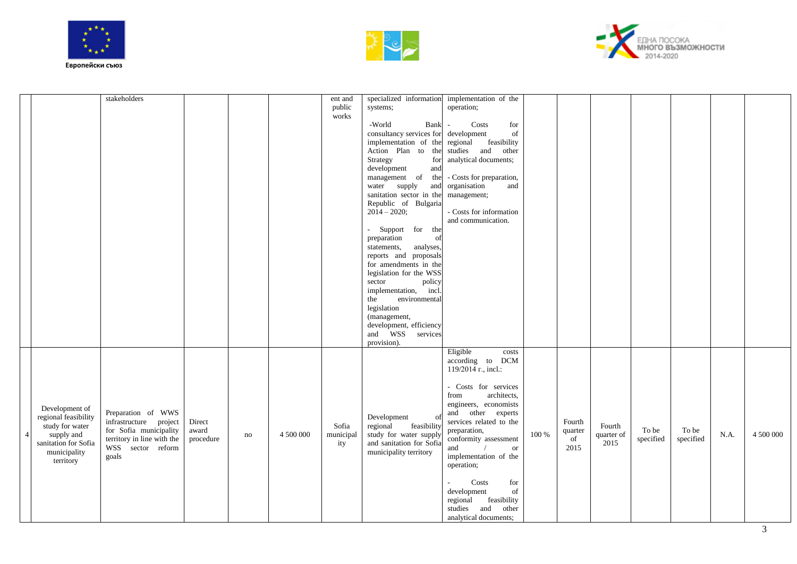





|                                                                                                                                                | stakeholders                                                                                                                       |                              |    |           | ent and<br>public<br>works | specialized information implementation of the<br>systems;<br>-World<br>Bank<br>consultancy services for development<br>implementation of the regional feasibility<br>Action Plan to the studies and<br>Strategy<br>for<br>development<br>and<br>management of the - Costs for preparation,<br>water supply<br>and<br>sanitation sector in the<br>Republic of Bulgaria<br>$20\overline{1}4 - 2020$ ;<br>- Support for the<br>preparation<br>of<br>analyses,<br>statements,<br>reports and proposals<br>for amendments in the<br>legislation for the WSS<br>sector<br>policy<br>implementation, incl.<br>environmental<br>the<br>legislation<br>(management,<br>development, efficiency<br>and WSS services | operation;<br>Costs<br>for<br>$\sim$<br>of<br>other<br>analytical documents;<br>organisation<br>and<br>management;<br>- Costs for information<br>and communication.                                                                                                                                                                                                                                    |       |                                 |                              |                    |                    |      |           |
|------------------------------------------------------------------------------------------------------------------------------------------------|------------------------------------------------------------------------------------------------------------------------------------|------------------------------|----|-----------|----------------------------|-----------------------------------------------------------------------------------------------------------------------------------------------------------------------------------------------------------------------------------------------------------------------------------------------------------------------------------------------------------------------------------------------------------------------------------------------------------------------------------------------------------------------------------------------------------------------------------------------------------------------------------------------------------------------------------------------------------|--------------------------------------------------------------------------------------------------------------------------------------------------------------------------------------------------------------------------------------------------------------------------------------------------------------------------------------------------------------------------------------------------------|-------|---------------------------------|------------------------------|--------------------|--------------------|------|-----------|
| Development of<br>regional feasibility<br>study for water<br>supply and<br>$\overline{4}$<br>sanitation for Sofia<br>municipality<br>territory | Preparation of WWS<br>infrastructure project<br>for Sofia municipality<br>territory in line with the<br>WSS sector reform<br>goals | Direct<br>award<br>procedure | no | 4 500 000 | Sofia<br>municipal<br>ity  | provision).<br>Development<br>$\Omega$<br>regional<br>feasibility<br>study for water supply<br>and sanitation for Sofia<br>municipality territory                                                                                                                                                                                                                                                                                                                                                                                                                                                                                                                                                         | Eligible<br>costs<br>according to DCM<br>119/2014 r., incl.:<br>- Costs for services<br>architects.<br>from<br>engineers, economists<br>and other experts<br>services related to the<br>preparation,<br>conformity assessment<br><b>or</b><br>and<br>implementation of the<br>operation;<br>Costs<br>for<br>of<br>development<br>regional feasibility<br>studies and<br>other<br>analytical documents; | 100 % | Fourth<br>quarter<br>of<br>2015 | Fourth<br>quarter of<br>2015 | To be<br>specified | To be<br>specified | N.A. | 4 500 000 |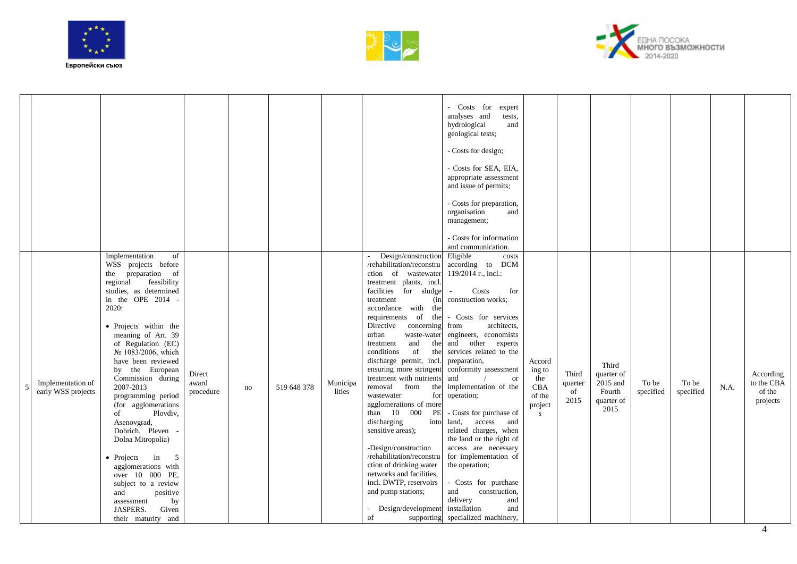





|    |                                         |                                                                                                                                                                                                                                                                                                                                                                                                                                                                                                                                                                                                                                    |                              |    |             |                    |                                                                                                                                                                                                                                                                                                                                                                                                                                                                                                                                                                                                                                                                                                                                       | - Costs for<br>expert<br>analyses and<br>tests,<br>hydrological<br>and<br>geological tests;<br>- Costs for design;<br>- Costs for SEA, EIA,<br>appropriate assessment<br>and issue of permits;<br>- Costs for preparation,<br>organisation<br>and<br>management;<br>- Costs for information<br>and communication.                                                                                                                                                                                                                                                                                                                |                                                                  |                                |                                                                 |                    |                    |            |                                               |
|----|-----------------------------------------|------------------------------------------------------------------------------------------------------------------------------------------------------------------------------------------------------------------------------------------------------------------------------------------------------------------------------------------------------------------------------------------------------------------------------------------------------------------------------------------------------------------------------------------------------------------------------------------------------------------------------------|------------------------------|----|-------------|--------------------|---------------------------------------------------------------------------------------------------------------------------------------------------------------------------------------------------------------------------------------------------------------------------------------------------------------------------------------------------------------------------------------------------------------------------------------------------------------------------------------------------------------------------------------------------------------------------------------------------------------------------------------------------------------------------------------------------------------------------------------|----------------------------------------------------------------------------------------------------------------------------------------------------------------------------------------------------------------------------------------------------------------------------------------------------------------------------------------------------------------------------------------------------------------------------------------------------------------------------------------------------------------------------------------------------------------------------------------------------------------------------------|------------------------------------------------------------------|--------------------------------|-----------------------------------------------------------------|--------------------|--------------------|------------|-----------------------------------------------|
| -5 | Implementation of<br>early WSS projects | Implementation<br>of<br>WSS projects before<br>the preparation of<br>regional<br>feasibility<br>studies, as determined<br>in the OPE 2014<br>2020:<br>• Projects within the<br>meaning of Art. 39<br>of Regulation (EC)<br>№ 1083/2006, which<br>have been reviewed<br>by the European<br>Commission during<br>2007-2013<br>programming period<br>(for agglomerations<br>of<br>Plovdiv,<br>Asenovgrad,<br>Dobrich, Pleven<br>Dolna Mitropolia)<br>$\bullet$ Projects<br>5<br>in<br>agglomerations with<br>over 10 000 PE,<br>subject to a review<br>positive<br>and<br>by<br>assessment<br>JASPERS.<br>Given<br>their maturity and | Direct<br>award<br>procedure | no | 519 648 378 | Municipa<br>lities | Design/construction<br>/rehabilitation/reconstru<br>ction of wastewater<br>treatment plants, incl.<br>facilities for sludge<br>treatment<br>(in<br>accordance with the<br>requirements of the<br>Directive<br>concerning<br>urban<br>waste-water<br>and<br>the<br>treatment<br>of<br>conditions<br>the<br>discharge permit, incl.<br>ensuring more stringent<br>treatment with nutrients<br>removal from<br>the<br>wastewater<br>for<br>agglomerations of more<br>than 10 000<br>PE<br>discharging<br>into<br>sensitive areas);<br>-Design/construction<br>/rehabilitation/reconstru<br>ction of drinking water<br>networks and facilities,<br>incl. DWTP, reservoirs<br>and pump stations;<br>Design/development<br>of<br>supporting | Eligible<br>costs<br>according to DCM<br>119/2014 r., incl.:<br>Costs<br>for<br>construction works;<br>- Costs for services<br>architects.<br>from<br>engineers, economists<br>and other experts<br>services related to the<br>preparation,<br>conformity assessment<br>and<br><b>or</b><br>implementation of the<br>operation;<br>- Costs for purchase of<br>land,<br>access<br>and<br>related charges, when<br>the land or the right of<br>access are necessary<br>for implementation of<br>the operation;<br>- Costs for purchase<br>construction,<br>and<br>delivery<br>and<br>installation<br>and<br>specialized machinery, | Accord<br>ing to<br>the<br>CBA<br>of the<br>project<br>${\bf S}$ | Third<br>quarter<br>of<br>2015 | Third<br>quarter of<br>2015 and<br>Fourth<br>quarter of<br>2015 | To be<br>specified | To be<br>specified | $\rm N.A.$ | According<br>to the CBA<br>of the<br>projects |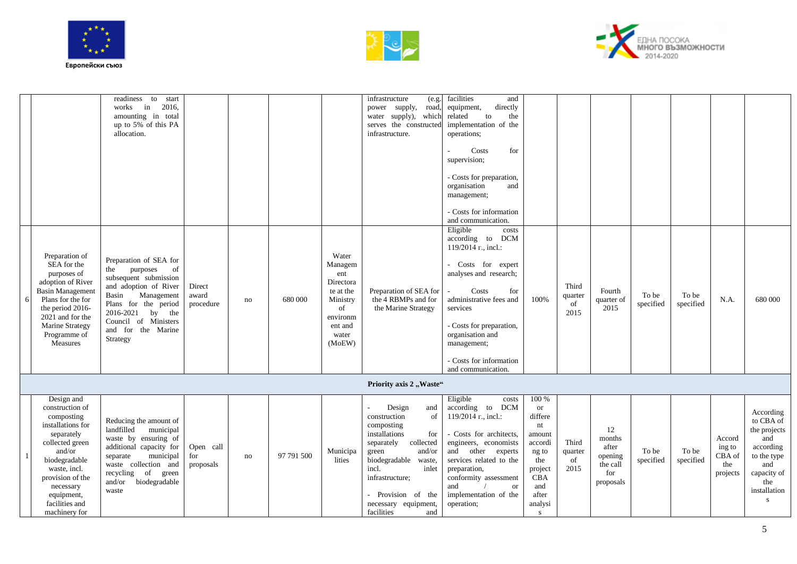





|   |                                                                                                                                                                                                                                | readiness to<br>start<br>2016,<br>works<br>in<br>amounting in total<br>up to 5% of this PA<br>allocation.                                                                                                                         |                               |    |            |                                                                                                               | infrastructure<br>(e.g.<br>power supply,<br>road,<br>water supply), which<br>serves the constructed<br>infrastructure.                                                                                                                                     | facilities<br>and<br>directly<br>equipment,<br>related<br>to<br>the<br>implementation of the<br>operations;<br>Costs<br>for<br>supervision;<br>- Costs for preparation,<br>organisation<br>and<br>management;<br>- Costs for information<br>and communication.                      |                                                                                                                            |                                |                                                                  |                    |                    |                                               |                                                                                                                             |
|---|--------------------------------------------------------------------------------------------------------------------------------------------------------------------------------------------------------------------------------|-----------------------------------------------------------------------------------------------------------------------------------------------------------------------------------------------------------------------------------|-------------------------------|----|------------|---------------------------------------------------------------------------------------------------------------|------------------------------------------------------------------------------------------------------------------------------------------------------------------------------------------------------------------------------------------------------------|-------------------------------------------------------------------------------------------------------------------------------------------------------------------------------------------------------------------------------------------------------------------------------------|----------------------------------------------------------------------------------------------------------------------------|--------------------------------|------------------------------------------------------------------|--------------------|--------------------|-----------------------------------------------|-----------------------------------------------------------------------------------------------------------------------------|
| 6 | Preparation of<br>SEA for the<br>purposes of<br>adoption of River<br><b>Basin Management</b><br>Plans for the for<br>the period 2016-<br>2021 and for the<br><b>Marine Strategy</b><br>Programme of<br>Measures                | Preparation of SEA for<br>purposes<br>of<br>the<br>subsequent submission<br>and adoption of River<br>Basin<br>Management<br>Plans for the period<br>2016-2021<br>by the<br>Council of Ministers<br>and for the Marine<br>Strategy | Direct<br>award<br>procedure  | no | 680 000    | Water<br>Managem<br>ent<br>Directora<br>te at the<br>Ministry<br>of<br>environm<br>ent and<br>water<br>(MoEW) | Preparation of SEA for<br>the 4 RBMPs and for<br>the Marine Strategy                                                                                                                                                                                       | Eligible<br>costs<br>according to DCM<br>119/2014 r., incl.:<br>- Costs for expert<br>analyses and research;<br>Costs<br>for<br>administrative fees and<br>services<br>- Costs for preparation,<br>organisation and<br>management;<br>- Costs for information<br>and communication. | 100%                                                                                                                       | Third<br>quarter<br>of<br>2015 | Fourth<br>quarter of<br>2015                                     | To be<br>specified | To be<br>specified | N.A.                                          | 680 000                                                                                                                     |
|   |                                                                                                                                                                                                                                |                                                                                                                                                                                                                                   |                               |    |            |                                                                                                               | Priority axis 2 "Waste"                                                                                                                                                                                                                                    |                                                                                                                                                                                                                                                                                     |                                                                                                                            |                                |                                                                  |                    |                    |                                               |                                                                                                                             |
|   | Design and<br>construction of<br>composting<br>installations for<br>separately<br>collected green<br>and/or<br>biodegradable<br>waste, incl.<br>provision of the<br>necessary<br>equipment,<br>facilities and<br>machinery for | Reducing the amount of<br>landfilled<br>municipal<br>waste by ensuring of<br>additional capacity for<br>municipal<br>separate<br>waste collection and<br>recycling<br>of<br>green<br>and/or<br>biodegradable<br>waste             | Open call<br>for<br>proposals | no | 97 791 500 | Municipa<br>lities                                                                                            | Design<br>and<br>construction<br>of<br>composting<br>installations<br>for<br>separately<br>collected<br>and/or<br>green<br>biodegradable<br>waste,<br>incl.<br>inlet<br>infrastructure;<br>- Provision of the<br>necessary equipment,<br>facilities<br>and | Eligible<br>costs<br>according to DCM<br>119/2014 r., incl.:<br>- Costs for architects,<br>engineers, economists<br>and other experts<br>services related to the<br>preparation,<br>conformity assessment<br>and<br><b>or</b><br>implementation of the<br>operation;                | 100 %<br><b>or</b><br>differe<br>nt<br>amount<br>accordi<br>ng to<br>the<br>project<br>CBA<br>and<br>after<br>analysi<br>S | Third<br>quarter<br>of<br>2015 | 12<br>months<br>after<br>opening<br>the call<br>for<br>proposals | To be<br>specified | To be<br>specified | Accord<br>ing to<br>CBA of<br>the<br>projects | According<br>to CBA of<br>the projects<br>and<br>according<br>to the type<br>and<br>capacity of<br>the<br>installation<br>s |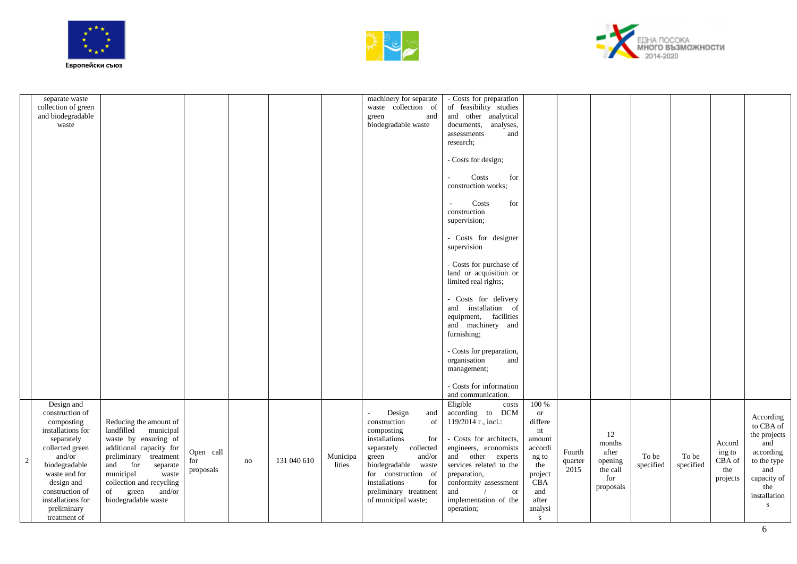





|                | separate waste<br>collection of green<br>and biodegradable<br>waste                                                                                                                                                                |                                                                                                                                                                                                                                                        |                               |    |             |                    | machinery for separate<br>waste collection of<br>green<br>and<br>biodegradable waste                                                                                                                                                       | - Costs for preparation<br>of feasibility studies<br>and other analytical<br>documents,<br>analyses,<br>assessments<br>and<br>research:                                                                                                                              |                                                                                                                                         |                           |                                                                  |                    |                    |                                               |                                                                                                                                     |
|----------------|------------------------------------------------------------------------------------------------------------------------------------------------------------------------------------------------------------------------------------|--------------------------------------------------------------------------------------------------------------------------------------------------------------------------------------------------------------------------------------------------------|-------------------------------|----|-------------|--------------------|--------------------------------------------------------------------------------------------------------------------------------------------------------------------------------------------------------------------------------------------|----------------------------------------------------------------------------------------------------------------------------------------------------------------------------------------------------------------------------------------------------------------------|-----------------------------------------------------------------------------------------------------------------------------------------|---------------------------|------------------------------------------------------------------|--------------------|--------------------|-----------------------------------------------|-------------------------------------------------------------------------------------------------------------------------------------|
|                |                                                                                                                                                                                                                                    |                                                                                                                                                                                                                                                        |                               |    |             |                    |                                                                                                                                                                                                                                            | - Costs for design;<br>Costs<br>for<br>construction works;                                                                                                                                                                                                           |                                                                                                                                         |                           |                                                                  |                    |                    |                                               |                                                                                                                                     |
|                |                                                                                                                                                                                                                                    |                                                                                                                                                                                                                                                        |                               |    |             |                    |                                                                                                                                                                                                                                            | Costs<br>for<br>construction<br>supervision;                                                                                                                                                                                                                         |                                                                                                                                         |                           |                                                                  |                    |                    |                                               |                                                                                                                                     |
|                |                                                                                                                                                                                                                                    |                                                                                                                                                                                                                                                        |                               |    |             |                    |                                                                                                                                                                                                                                            | - Costs for designer<br>supervision                                                                                                                                                                                                                                  |                                                                                                                                         |                           |                                                                  |                    |                    |                                               |                                                                                                                                     |
|                |                                                                                                                                                                                                                                    |                                                                                                                                                                                                                                                        |                               |    |             |                    |                                                                                                                                                                                                                                            | - Costs for purchase of<br>land or acquisition or<br>limited real rights;                                                                                                                                                                                            |                                                                                                                                         |                           |                                                                  |                    |                    |                                               |                                                                                                                                     |
|                |                                                                                                                                                                                                                                    |                                                                                                                                                                                                                                                        |                               |    |             |                    |                                                                                                                                                                                                                                            | - Costs for delivery<br>and installation of<br>equipment, facilities<br>and machinery and<br>furnishing;                                                                                                                                                             |                                                                                                                                         |                           |                                                                  |                    |                    |                                               |                                                                                                                                     |
|                |                                                                                                                                                                                                                                    |                                                                                                                                                                                                                                                        |                               |    |             |                    |                                                                                                                                                                                                                                            | - Costs for preparation,<br>organisation<br>and<br>management;                                                                                                                                                                                                       |                                                                                                                                         |                           |                                                                  |                    |                    |                                               |                                                                                                                                     |
|                |                                                                                                                                                                                                                                    |                                                                                                                                                                                                                                                        |                               |    |             |                    |                                                                                                                                                                                                                                            | - Costs for information<br>and communication.                                                                                                                                                                                                                        |                                                                                                                                         |                           |                                                                  |                    |                    |                                               |                                                                                                                                     |
| $\overline{c}$ | Design and<br>construction of<br>composting<br>installations for<br>separately<br>collected green<br>and/or<br>biodegradable<br>waste and for<br>design and<br>construction of<br>installations for<br>preliminary<br>treatment of | Reducing the amount of<br>landfilled<br>municipal<br>waste by ensuring of<br>additional capacity for<br>preliminary treatment<br>and for<br>separate<br>municipal<br>waste<br>collection and recycling<br>and/or<br>of<br>green<br>biodegradable waste | Open call<br>for<br>proposals | no | 131 040 610 | Municipa<br>lities | Design<br>and<br>construction<br>of<br>composting<br>installations<br>for<br>separately collected<br>and/or<br>green<br>biodegradable waste<br>for construction of<br>installations<br>for<br>preliminary treatment<br>of municipal waste; | Eligible<br>costs<br>according to DCM<br>119/2014 r., incl.:<br>- Costs for architects,<br>engineers, economists<br>and other experts<br>services related to the<br>preparation,<br>conformity assessment<br>and<br><b>or</b><br>implementation of the<br>operation; | 100 %<br><b>or</b><br>differe<br>nt<br>amount<br>accordi<br>ng to<br>the<br>project<br>$\overline{CBA}$<br>and<br>after<br>analysi<br>S | Fourth<br>quarter<br>2015 | 12<br>months<br>after<br>opening<br>the call<br>for<br>proposals | To be<br>specified | To be<br>specified | Accord<br>ing to<br>CBA of<br>the<br>projects | According<br>to CBA of<br>the projects<br>and<br>according<br>to the type<br>and<br>capacity of<br>the<br>installation<br>${\bf S}$ |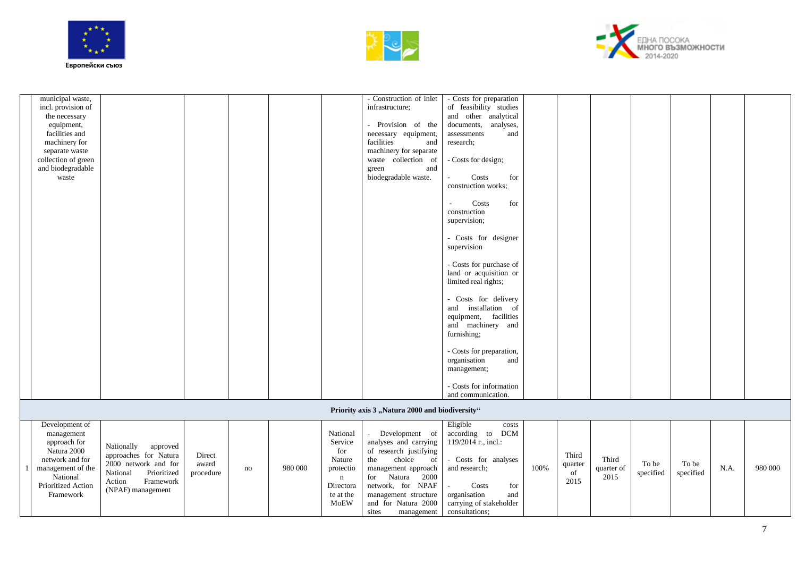





| municipal waste,           |  |  | - Construction of inlet                        | - Costs for preparation                     |  |  |  |  |
|----------------------------|--|--|------------------------------------------------|---------------------------------------------|--|--|--|--|
| incl. provision of         |  |  | infrastructure;                                | of feasibility studies                      |  |  |  |  |
| the necessary              |  |  |                                                | and other analytical                        |  |  |  |  |
| equipment,                 |  |  | - Provision of the                             | documents,<br>analyses,                     |  |  |  |  |
| facilities and             |  |  | necessary equipment,                           | and<br>assessments                          |  |  |  |  |
| machinery for              |  |  | facilities<br>and                              | research;                                   |  |  |  |  |
|                            |  |  | machinery for separate                         |                                             |  |  |  |  |
| separate waste             |  |  |                                                |                                             |  |  |  |  |
| collection of green        |  |  | waste collection of                            | - Costs for design;                         |  |  |  |  |
| and biodegradable<br>waste |  |  | and<br>green<br>biodegradable waste.           | Costs<br>for<br>$\mathcal{L}_{\mathcal{A}}$ |  |  |  |  |
|                            |  |  |                                                | construction works;                         |  |  |  |  |
|                            |  |  |                                                |                                             |  |  |  |  |
|                            |  |  |                                                |                                             |  |  |  |  |
|                            |  |  |                                                | for<br>Costs<br>$\sim$<br>construction      |  |  |  |  |
|                            |  |  |                                                |                                             |  |  |  |  |
|                            |  |  |                                                | supervision;                                |  |  |  |  |
|                            |  |  |                                                |                                             |  |  |  |  |
|                            |  |  |                                                | - Costs for designer                        |  |  |  |  |
|                            |  |  |                                                | supervision                                 |  |  |  |  |
|                            |  |  |                                                |                                             |  |  |  |  |
|                            |  |  |                                                | - Costs for purchase of                     |  |  |  |  |
|                            |  |  |                                                | land or acquisition or                      |  |  |  |  |
|                            |  |  |                                                | limited real rights;                        |  |  |  |  |
|                            |  |  |                                                |                                             |  |  |  |  |
|                            |  |  |                                                | - Costs for delivery                        |  |  |  |  |
|                            |  |  |                                                | and installation of                         |  |  |  |  |
|                            |  |  |                                                | equipment, facilities                       |  |  |  |  |
|                            |  |  |                                                | and machinery and                           |  |  |  |  |
|                            |  |  |                                                | furnishing;                                 |  |  |  |  |
|                            |  |  |                                                |                                             |  |  |  |  |
|                            |  |  |                                                | - Costs for preparation,                    |  |  |  |  |
|                            |  |  |                                                | organisation<br>and                         |  |  |  |  |
|                            |  |  |                                                | management;                                 |  |  |  |  |
|                            |  |  |                                                |                                             |  |  |  |  |
|                            |  |  |                                                | - Costs for information                     |  |  |  |  |
|                            |  |  |                                                | and communication.                          |  |  |  |  |
|                            |  |  | Priority axis 3 "Natura 2000 and biodiversity" |                                             |  |  |  |  |

| Development of<br>management<br>approach for<br>Natura 2000<br>network and for<br>management of the<br>National<br><b>Prioritized Action</b><br>Framework | Nationally<br>approved<br>approaches for Natura<br>2000 network and for<br>Prioritized<br>National<br>Action<br>Framework  <br>(NPAF) management | Direct<br>award<br>procedure | no | 980 000 | National<br>Service<br>for<br>Nature<br>protectio<br>n<br>Directora<br>te at the<br><b>MoEW</b> | Development of<br>analyses and carrying<br>f research justifying<br>choice<br>of<br>the<br>management approach<br>2000<br>Natura<br>for<br>network, for NPAF<br>management structure<br>and for Natura 2000<br>sites<br>management | Eligible<br>costs<br>DCM<br>according to<br>$119/2014$ r., incl.:<br>Costs for analyses<br>and research;<br>Costs<br>for<br>organisation<br>and<br>carrying of stakeholder<br>consultations: | 100% | Third<br>quarter<br>of<br>2015 | Third<br>quarter of<br>2015 | To be<br>specified | To be<br>specified | N.A. | 980 000 |
|-----------------------------------------------------------------------------------------------------------------------------------------------------------|--------------------------------------------------------------------------------------------------------------------------------------------------|------------------------------|----|---------|-------------------------------------------------------------------------------------------------|------------------------------------------------------------------------------------------------------------------------------------------------------------------------------------------------------------------------------------|----------------------------------------------------------------------------------------------------------------------------------------------------------------------------------------------|------|--------------------------------|-----------------------------|--------------------|--------------------|------|---------|
|-----------------------------------------------------------------------------------------------------------------------------------------------------------|--------------------------------------------------------------------------------------------------------------------------------------------------|------------------------------|----|---------|-------------------------------------------------------------------------------------------------|------------------------------------------------------------------------------------------------------------------------------------------------------------------------------------------------------------------------------------|----------------------------------------------------------------------------------------------------------------------------------------------------------------------------------------------|------|--------------------------------|-----------------------------|--------------------|--------------------|------|---------|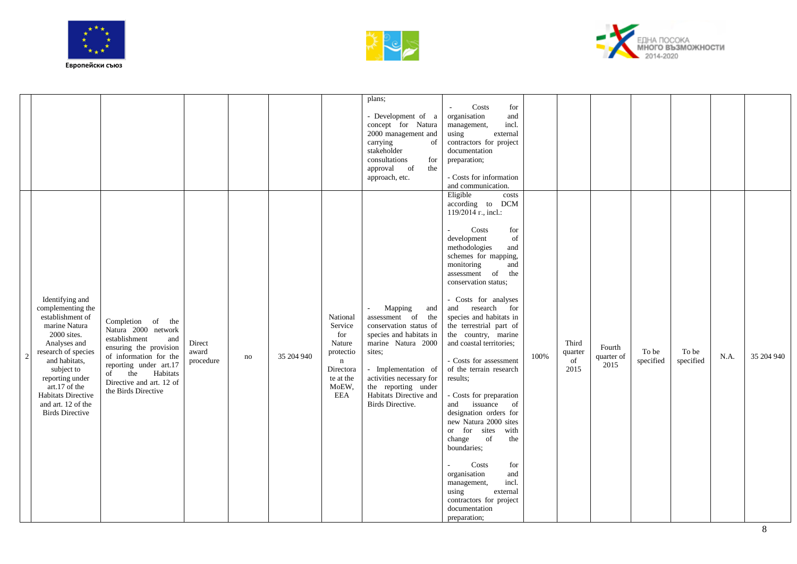





|                                                                                                                                                                                                                                                                          |                                                                                                                                                                                                                      |                              |    |            |                                                                                                                   | plans;<br>- Development of a<br>concept for Natura<br>2000 management and<br>carrying<br>of<br>stakeholder<br>consultations<br>for<br>approval of<br>the<br>approach, etc.                                                                                 | Costs<br>for<br>$\sim$<br>organisation<br>and<br>incl.<br>management,<br>using<br>external<br>contractors for project<br>documentation<br>preparation;<br>- Costs for information<br>and communication.                                                                                                                                                                                                                                                                                                                                                                                                                                                                                                                                                        |      |                                |                              |                    |                    |      |            |
|--------------------------------------------------------------------------------------------------------------------------------------------------------------------------------------------------------------------------------------------------------------------------|----------------------------------------------------------------------------------------------------------------------------------------------------------------------------------------------------------------------|------------------------------|----|------------|-------------------------------------------------------------------------------------------------------------------|------------------------------------------------------------------------------------------------------------------------------------------------------------------------------------------------------------------------------------------------------------|----------------------------------------------------------------------------------------------------------------------------------------------------------------------------------------------------------------------------------------------------------------------------------------------------------------------------------------------------------------------------------------------------------------------------------------------------------------------------------------------------------------------------------------------------------------------------------------------------------------------------------------------------------------------------------------------------------------------------------------------------------------|------|--------------------------------|------------------------------|--------------------|--------------------|------|------------|
| Identifying and<br>complementing the<br>establishment of<br>marine Natura<br>2000 sites.<br>Analyses and<br>research of species<br>and habitats,<br>subject to<br>reporting under<br>art.17 of the<br>Habitats Directive<br>and art. 12 of the<br><b>Birds Directive</b> | Completion of the<br>Natura 2000 network<br>establishment<br>and<br>ensuring the provision<br>of information for the<br>reporting under art.17<br>of the Habitats<br>Directive and art. 12 of<br>the Birds Directive | Direct<br>award<br>procedure | no | 35 204 940 | National<br>Service<br>for<br>Nature<br>protectio<br>$\mathbf n$<br>Directora<br>te at the<br>MoEW,<br><b>EEA</b> | Mapping<br>and<br>$\sim$<br>assessment of the<br>conservation status of<br>species and habitats in<br>marine Natura 2000<br>sites;<br>- Implementation of<br>activities necessary for<br>the reporting under<br>Habitats Directive and<br>Birds Directive. | Eligible<br>costs<br>according to DCM<br>119/2014 r., incl.:<br>Costs<br>for<br>development<br>of<br>methodologies<br>and<br>schemes for mapping,<br>monitoring<br>and<br>assessment of the<br>conservation status;<br>- Costs for analyses<br>and research for<br>species and habitats in<br>the terrestrial part of<br>the country, marine<br>and coastal territories;<br>- Costs for assessment<br>of the terrain research<br>results;<br>- Costs for preparation<br>issuance<br>and<br>of<br>designation orders for<br>new Natura 2000 sites<br>or for sites<br>with<br>change<br>of<br>the<br>boundaries;<br>Costs<br>for<br>organisation<br>and<br>incl.<br>management,<br>using<br>external<br>contractors for project<br>documentation<br>preparation; | 100% | Third<br>quarter<br>of<br>2015 | Fourth<br>quarter of<br>2015 | To be<br>specified | To be<br>specified | N.A. | 35 204 940 |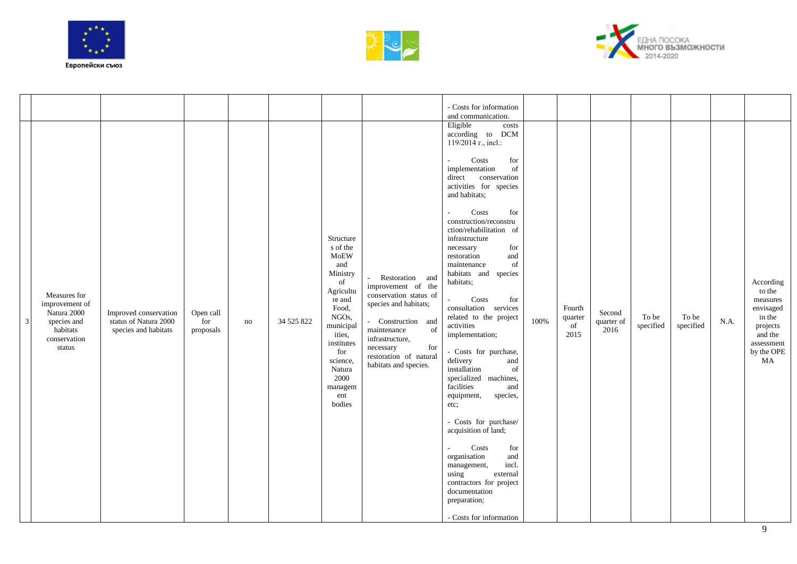





| $\mathbf{3}$ | Measures for<br>improvement of<br>Natura 2000<br>species and<br>habitats<br>conservation<br>status | Improved conservation<br>status of Natura 2000<br>species and habitats | Open call<br>for<br>proposals | no | 34 525 822 | Structure<br>s of the<br><b>MoEW</b><br>and<br>Ministry<br>of<br>Agricultu<br>re and<br>Food,<br>NGOs,<br>municipal<br>ities,<br>institutes<br>for<br>science,<br>Natura<br>2000<br>managem<br>ent<br>bodies | Restoration and<br>improvement of the<br>conservation status of<br>species and habitats;<br>- Construction and<br>of<br>maintenance<br>infrastructure,<br>necessary<br>for<br>restoration of natural<br>habitats and species. | - Costs for information<br>and communication.<br>Eligible<br>costs<br>according to DCM<br>$119/2014$ r., incl.:<br>Costs<br>for<br>implementation<br>of<br>direct conservation<br>activities for species<br>and habitats;<br>Costs<br>for<br>$\overline{\phantom{a}}$<br>construction/reconstru<br>ction/rehabilitation of<br>infrastructure<br>necessary<br>for<br>restoration<br>and<br>$% \left( \left( \mathcal{A},\mathcal{A}\right) \right)$ of<br>maintenance<br>habitats and species<br>habitats;<br>Costs<br>for<br>consultation services<br>related to the project<br>activities<br>implementation;<br>- Costs for purchase,<br>and<br>delivery<br>installation<br>of<br>specialized machines,<br>facilities<br>and<br>species,<br>equipment,<br>etc;<br>- Costs for purchase/<br>acquisition of land;<br>Costs<br>for<br>organisation<br>and<br>incl.<br>management, | 100% | Fourth<br>quarter<br>of<br>2015 | Second<br>quarter of<br>2016 | To be<br>specified | To be<br>specified | N.A. | According<br>to the<br>measures<br>envisaged<br>in the<br>projects<br>and the<br>assessment<br>by the OPE<br>MA |
|--------------|----------------------------------------------------------------------------------------------------|------------------------------------------------------------------------|-------------------------------|----|------------|--------------------------------------------------------------------------------------------------------------------------------------------------------------------------------------------------------------|-------------------------------------------------------------------------------------------------------------------------------------------------------------------------------------------------------------------------------|---------------------------------------------------------------------------------------------------------------------------------------------------------------------------------------------------------------------------------------------------------------------------------------------------------------------------------------------------------------------------------------------------------------------------------------------------------------------------------------------------------------------------------------------------------------------------------------------------------------------------------------------------------------------------------------------------------------------------------------------------------------------------------------------------------------------------------------------------------------------------------|------|---------------------------------|------------------------------|--------------------|--------------------|------|-----------------------------------------------------------------------------------------------------------------|
|              |                                                                                                    |                                                                        |                               |    |            |                                                                                                                                                                                                              |                                                                                                                                                                                                                               | external<br>using<br>contractors for project<br>documentation<br>preparation;<br>- Costs for information                                                                                                                                                                                                                                                                                                                                                                                                                                                                                                                                                                                                                                                                                                                                                                        |      |                                 |                              |                    |                    |      |                                                                                                                 |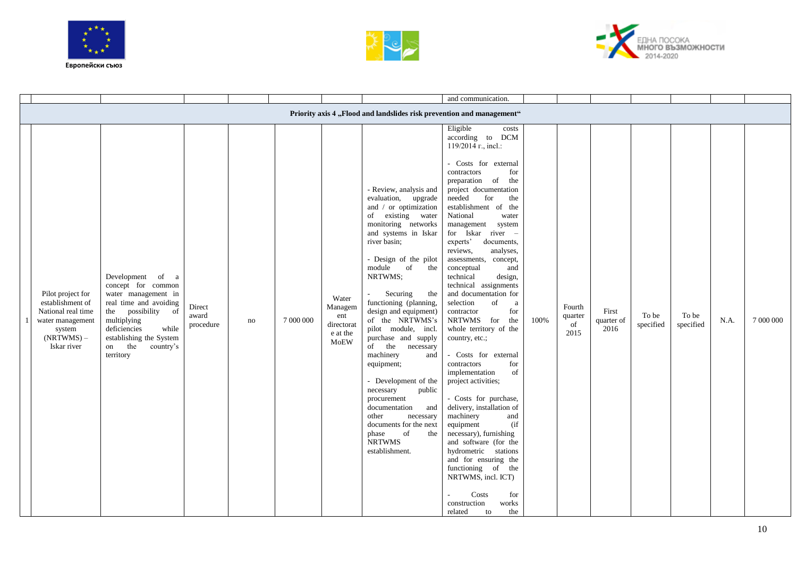





|                                                                                                                          |                                                                                                                                                                                                                            |                              |    |           |                                                           |                                                                                                                                                                                                                                                                                                                                                                                                                                                                                                                                                                                                                   | and communication.                                                                                                                                                                                                                                                                                                                                                                                                                                                                                                                                                                                                                                                                                                                                                                                                                                                                                                                                                                |      |                                 |                             |                    |                    |      |           |
|--------------------------------------------------------------------------------------------------------------------------|----------------------------------------------------------------------------------------------------------------------------------------------------------------------------------------------------------------------------|------------------------------|----|-----------|-----------------------------------------------------------|-------------------------------------------------------------------------------------------------------------------------------------------------------------------------------------------------------------------------------------------------------------------------------------------------------------------------------------------------------------------------------------------------------------------------------------------------------------------------------------------------------------------------------------------------------------------------------------------------------------------|-----------------------------------------------------------------------------------------------------------------------------------------------------------------------------------------------------------------------------------------------------------------------------------------------------------------------------------------------------------------------------------------------------------------------------------------------------------------------------------------------------------------------------------------------------------------------------------------------------------------------------------------------------------------------------------------------------------------------------------------------------------------------------------------------------------------------------------------------------------------------------------------------------------------------------------------------------------------------------------|------|---------------------------------|-----------------------------|--------------------|--------------------|------|-----------|
|                                                                                                                          |                                                                                                                                                                                                                            |                              |    |           |                                                           | Priority axis 4 "Flood and landslides risk prevention and management"                                                                                                                                                                                                                                                                                                                                                                                                                                                                                                                                             |                                                                                                                                                                                                                                                                                                                                                                                                                                                                                                                                                                                                                                                                                                                                                                                                                                                                                                                                                                                   |      |                                 |                             |                    |                    |      |           |
| Pilot project for<br>establishment of<br>National real time<br>water management<br>system<br>$(NRTWMS)$ –<br>Iskar river | Development<br>of<br>a<br>concept for common<br>water management in<br>real time and avoiding<br>the possibility of<br>multiplying<br>while<br>deficiencies<br>establishing the System<br>on the<br>country's<br>territory | Direct<br>award<br>procedure | no | 7 000 000 | Water<br>Managem<br>ent<br>directorat<br>e at the<br>MoEW | - Review, analysis and<br>evaluation, upgrade<br>and / or optimization<br>of existing water<br>monitoring networks<br>and systems in Iskar<br>river basin;<br>- Design of the pilot<br>of<br>module<br>the<br>NRTWMS;<br>Securing<br>the<br>functioning (planning,<br>design and equipment)<br>of the NRTWMS's<br>pilot module, incl.<br>purchase and supply<br>of the necessary<br>machinery<br>and<br>equipment;<br>- Development of the<br>necessary<br>public<br>procurement<br>documentation<br>and<br>other<br>necessary<br>documents for the next<br>of<br>phase<br>the<br><b>NRTWMS</b><br>establishment. | Eligible<br>costs<br>according to DCM<br>$119/2014$ r., incl.:<br>- Costs for external<br>for<br>contractors<br>preparation of<br>the<br>project documentation<br>needed<br>for<br>the<br>establishment of the<br>National<br>water<br>management system<br>for Iskar river -<br>experts'<br>documents,<br>analyses,<br>reviews,<br>assessments, concept,<br>conceptual<br>and<br>technical<br>design,<br>technical assignments<br>and documentation for<br>selection<br>of<br>a<br>contractor<br>for<br>NRTWMS for<br>the<br>whole territory of the<br>country, etc.;<br>Costs for external<br>for<br>contractors<br>implementation<br>of<br>project activities;<br>- Costs for purchase,<br>delivery, installation of<br>machinery<br>and<br>(i f)<br>equipment<br>necessary), furnishing<br>and software (for the<br>hydrometric stations<br>and for ensuring the<br>functioning of the<br>NRTWMS, incl. ICT)<br>Costs<br>for<br>construction<br>works<br>the<br>related<br>to | 100% | Fourth<br>quarter<br>of<br>2015 | First<br>quarter of<br>2016 | To be<br>specified | To be<br>specified | N.A. | 7 000 000 |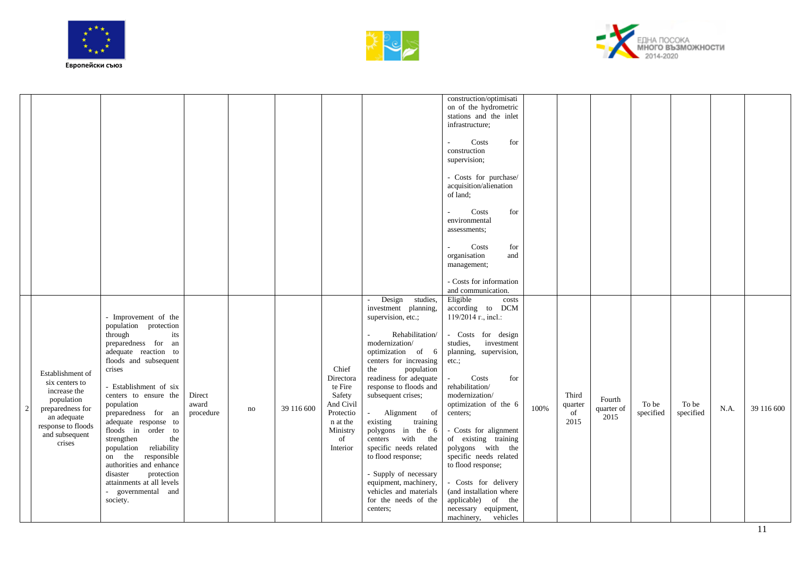





|   |                                                                                                                                                       |                                                                                                                                                                                                                                                                                                                                                                                                                                                                                  |                              |    |            |                                                                                                             |                                                                                                                                                                                                                                                                                                                                                                                                                                                                                                                  | construction/optimisati<br>on of the hydrometric<br>stations and the inlet<br>infrastructure;<br>for<br>Costs<br>construction<br>supervision;<br>- Costs for purchase/<br>acquisition/alienation<br>of land;<br>Costs<br>for<br>environmental<br>assessments;<br>Costs<br>for<br>organisation<br>and<br>management;<br>- Costs for information<br>and communication.                                                                                                                         |      |                                |                              |                    |                    |      |            |
|---|-------------------------------------------------------------------------------------------------------------------------------------------------------|----------------------------------------------------------------------------------------------------------------------------------------------------------------------------------------------------------------------------------------------------------------------------------------------------------------------------------------------------------------------------------------------------------------------------------------------------------------------------------|------------------------------|----|------------|-------------------------------------------------------------------------------------------------------------|------------------------------------------------------------------------------------------------------------------------------------------------------------------------------------------------------------------------------------------------------------------------------------------------------------------------------------------------------------------------------------------------------------------------------------------------------------------------------------------------------------------|----------------------------------------------------------------------------------------------------------------------------------------------------------------------------------------------------------------------------------------------------------------------------------------------------------------------------------------------------------------------------------------------------------------------------------------------------------------------------------------------|------|--------------------------------|------------------------------|--------------------|--------------------|------|------------|
| 2 | Establishment of<br>six centers to<br>increase the<br>population<br>preparedness for<br>an adequate<br>response to floods<br>and subsequent<br>crises | - Improvement of the<br>population protection<br>through<br>its<br>preparedness for an<br>adequate reaction to<br>floods and subsequent<br>crises<br>- Establishment of six<br>centers to ensure the<br>population<br>preparedness for an<br>adequate response to<br>floods in order to<br>strengthen<br>the<br>population reliability<br>on the responsible<br>authorities and enhance<br>protection<br>disaster<br>attainments at all levels<br>- governmental and<br>society. | Direct<br>award<br>procedure | no | 39 116 600 | Chief<br>Directora<br>te Fire<br>Safety<br>And Civil<br>Protectio<br>n at the<br>Ministry<br>of<br>Interior | Design studies,<br>investment planning,<br>supervision, etc.;<br>Rehabilitation/<br>modernization/<br>optimization of 6<br>centers for increasing<br>the<br>population<br>readiness for adequate<br>response to floods and<br>subsequent crises;<br>Alignment<br>of<br>$\omega$<br>training<br>existing<br>polygons in the 6<br>centers with the<br>specific needs related<br>to flood response;<br>- Supply of necessary<br>equipment, machinery,<br>vehicles and materials<br>for the needs of the<br>centers; | Eligible<br>costs<br>according to DCM<br>$119/2014$ r., incl.:<br>- Costs for design<br>studies,<br>investment<br>planning, supervision,<br>$etc.$ ;<br>Costs<br>for<br>rehabilitation/<br>modernization/<br>optimization of the 6<br>centers;<br>- Costs for alignment<br>of existing training<br>polygons with the<br>specific needs related<br>to flood response;<br>- Costs for delivery<br>(and installation where<br>applicable) of the<br>necessary equipment,<br>machinery, vehicles | 100% | Third<br>quarter<br>of<br>2015 | Fourth<br>quarter of<br>2015 | To be<br>specified | To be<br>specified | N.A. | 39 116 600 |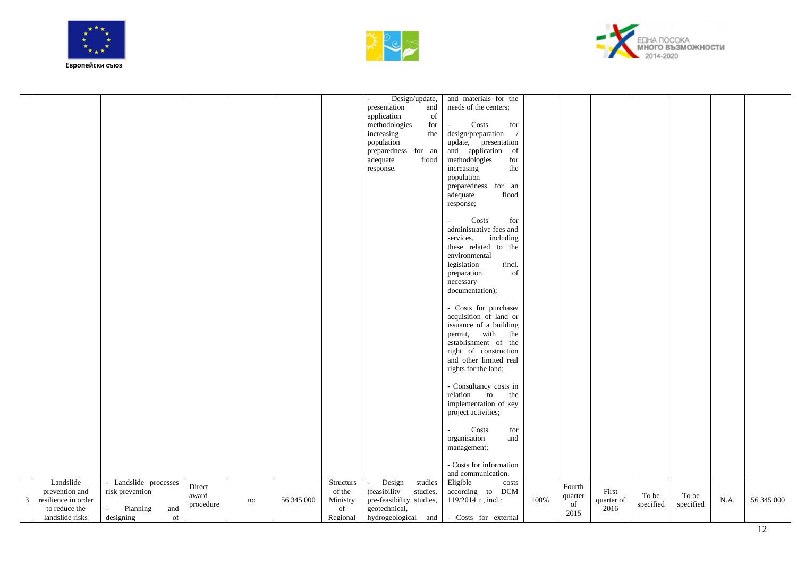





|   |                                                                           |                                                                 |                              |    |            |                                      | Design/update,<br>$\overline{\phantom{a}}$<br>presentation<br>and<br>application<br>of<br>methodologies<br>for<br>increasing<br>the<br>population<br>preparedness for an<br>adequate<br>$\operatorname{flood}$<br>response. | and materials for the<br>needs of the centers;<br>Costs<br>for<br>design/preparation<br>update, presentation<br>and application of<br>methodologies<br>for<br>increasing<br>the<br>population<br>preparedness for an<br>adequate<br>flood<br>response; |      |                                 |                             |                    |                    |      |            |
|---|---------------------------------------------------------------------------|-----------------------------------------------------------------|------------------------------|----|------------|--------------------------------------|-----------------------------------------------------------------------------------------------------------------------------------------------------------------------------------------------------------------------------|--------------------------------------------------------------------------------------------------------------------------------------------------------------------------------------------------------------------------------------------------------|------|---------------------------------|-----------------------------|--------------------|--------------------|------|------------|
|   |                                                                           |                                                                 |                              |    |            |                                      |                                                                                                                                                                                                                             | Costs<br>for<br>administrative fees and<br>services,<br>including<br>these related to the<br>environmental<br>legislation<br>(incl.<br>of<br>preparation<br>necessary<br>documentation);                                                               |      |                                 |                             |                    |                    |      |            |
|   |                                                                           |                                                                 |                              |    |            |                                      |                                                                                                                                                                                                                             | - Costs for purchase/<br>acquisition of land or<br>issuance of a building<br>permit,<br>with<br>the<br>establishment of the<br>right of construction<br>and other limited real<br>rights for the land;                                                 |      |                                 |                             |                    |                    |      |            |
|   |                                                                           |                                                                 |                              |    |            |                                      |                                                                                                                                                                                                                             | - Consultancy costs in<br>relation to<br>the<br>implementation of key<br>project activities;<br>Costs<br>for<br>organisation<br>and                                                                                                                    |      |                                 |                             |                    |                    |      |            |
|   | Landslide                                                                 | - Landslide processes                                           |                              |    |            | <b>Structurs</b>                     | Design<br>studies<br>$\sim$                                                                                                                                                                                                 | management;<br>- Costs for information<br>and communication.<br>Eligible<br>costs                                                                                                                                                                      |      |                                 |                             |                    |                    |      |            |
| 3 | prevention and<br>resilience in order<br>to reduce the<br>landslide risks | risk prevention<br>Planning<br>and<br>$\sim$<br>of<br>designing | Direct<br>award<br>procedure | no | 56 345 000 | of the<br>Ministry<br>of<br>Regional | (feasibility<br>studies,<br>pre-feasibility studies,<br>geotechnical,                                                                                                                                                       | according to DCM<br>$119/2014$ r., incl.:<br>hydrogeological and - Costs for external                                                                                                                                                                  | 100% | Fourth<br>quarter<br>of<br>2015 | First<br>quarter of<br>2016 | To be<br>specified | To be<br>specified | N.A. | 56 345 000 |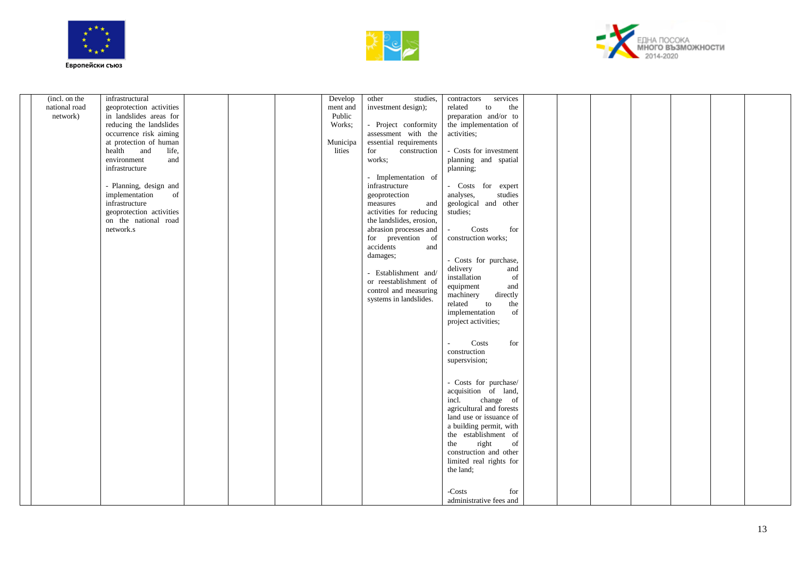





| (incl. on the | infrastructural          |  | Develop  | other<br>studies,        | services<br>contractors                      |  |  |  |  |
|---------------|--------------------------|--|----------|--------------------------|----------------------------------------------|--|--|--|--|
| national road | geoprotection activities |  | ment and | investment design);      | related<br>the<br>to                         |  |  |  |  |
| network)      | in landslides areas for  |  | Public   |                          | preparation and/or to                        |  |  |  |  |
|               | reducing the landslides  |  | Works;   | - Project conformity     | the implementation of                        |  |  |  |  |
|               | occurrence risk aiming   |  |          | assessment with the      | activities;                                  |  |  |  |  |
|               | at protection of human   |  | Municipa | essential requirements   |                                              |  |  |  |  |
|               | health and<br>life,      |  | lities   | for<br>construction      | - Costs for investment                       |  |  |  |  |
|               | environment<br>and       |  |          | works;                   | planning and spatial                         |  |  |  |  |
|               | infrastructure           |  |          |                          | planning;                                    |  |  |  |  |
|               |                          |  |          | - Implementation of      |                                              |  |  |  |  |
|               | - Planning, design and   |  |          | infrastructure           | - Costs for expert                           |  |  |  |  |
|               | implementation<br>of     |  |          | geoprotection            | analyses,<br>studies                         |  |  |  |  |
|               | infrastructure           |  |          | measures<br>and          | geological and other                         |  |  |  |  |
|               | geoprotection activities |  |          | activities for reducing  | studies;                                     |  |  |  |  |
|               | on the national road     |  |          | the landslides, erosion, |                                              |  |  |  |  |
|               | network.s                |  |          | abrasion processes and   | Costs<br>for                                 |  |  |  |  |
|               |                          |  |          | for prevention of        | construction works;                          |  |  |  |  |
|               |                          |  |          | accidents<br>and         |                                              |  |  |  |  |
|               |                          |  |          | damages;                 | - Costs for purchase,                        |  |  |  |  |
|               |                          |  |          |                          | and<br>delivery                              |  |  |  |  |
|               |                          |  |          | - Establishment and/     | installation<br>of                           |  |  |  |  |
|               |                          |  |          | or reestablishment of    | and<br>equipment                             |  |  |  |  |
|               |                          |  |          | control and measuring    | machinery<br>directly                        |  |  |  |  |
|               |                          |  |          | systems in landslides.   | the<br>related<br>to                         |  |  |  |  |
|               |                          |  |          |                          | implementation<br>of                         |  |  |  |  |
|               |                          |  |          |                          | project activities;                          |  |  |  |  |
|               |                          |  |          |                          |                                              |  |  |  |  |
|               |                          |  |          |                          | for<br>Costs                                 |  |  |  |  |
|               |                          |  |          |                          | construction                                 |  |  |  |  |
|               |                          |  |          |                          | supersvision;                                |  |  |  |  |
|               |                          |  |          |                          |                                              |  |  |  |  |
|               |                          |  |          |                          |                                              |  |  |  |  |
|               |                          |  |          |                          | - Costs for purchase/                        |  |  |  |  |
|               |                          |  |          |                          | acquisition of land,                         |  |  |  |  |
|               |                          |  |          |                          | change of<br>incl.                           |  |  |  |  |
|               |                          |  |          |                          | agricultural and forests                     |  |  |  |  |
|               |                          |  |          |                          | land use or issuance of                      |  |  |  |  |
|               |                          |  |          |                          | a building permit, with                      |  |  |  |  |
|               |                          |  |          |                          | the establishment of                         |  |  |  |  |
|               |                          |  |          |                          | right<br>the<br>of<br>construction and other |  |  |  |  |
|               |                          |  |          |                          | limited real rights for                      |  |  |  |  |
|               |                          |  |          |                          | the land;                                    |  |  |  |  |
|               |                          |  |          |                          |                                              |  |  |  |  |
|               |                          |  |          |                          |                                              |  |  |  |  |
|               |                          |  |          |                          | -Costs<br>for                                |  |  |  |  |
|               |                          |  |          |                          | administrative fees and                      |  |  |  |  |